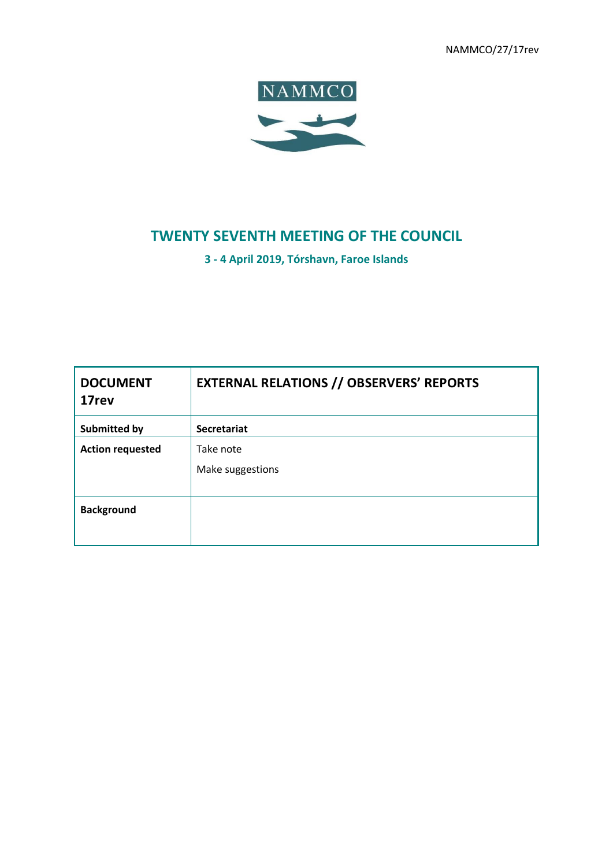NAMMCO/27/17rev



# **TWENTY SEVENTH MEETING OF THE COUNCIL**

**3 - 4 April 2019, Tórshavn, Faroe Islands**

| <b>DOCUMENT</b><br>17rev | <b>EXTERNAL RELATIONS // OBSERVERS' REPORTS</b> |
|--------------------------|-------------------------------------------------|
| <b>Submitted by</b>      | <b>Secretariat</b>                              |
| <b>Action requested</b>  | Take note                                       |
|                          | Make suggestions                                |
| <b>Background</b>        |                                                 |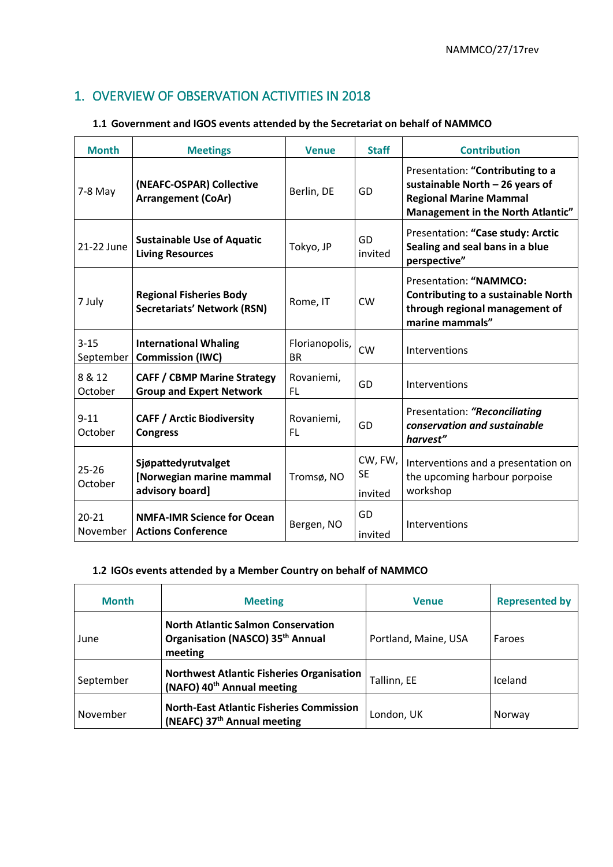## 1. OVERVIEW OF OBSERVATION ACTIVITIES IN 2018

## **1.1 Government and IGOS events attended by the Secretariat on behalf of NAMMCO**

| <b>Month</b>          | <b>Meetings</b>                                                       | <b>Venue</b>                | <b>Staff</b>                    | <b>Contribution</b>                                                                                                                       |
|-----------------------|-----------------------------------------------------------------------|-----------------------------|---------------------------------|-------------------------------------------------------------------------------------------------------------------------------------------|
| $7-8$ May             | (NEAFC-OSPAR) Collective<br><b>Arrangement (CoAr)</b>                 | Berlin, DE                  | GD                              | Presentation: "Contributing to a<br>sustainable North - 26 years of<br><b>Regional Marine Mammal</b><br>Management in the North Atlantic" |
| 21-22 June            | <b>Sustainable Use of Aquatic</b><br><b>Living Resources</b>          | Tokyo, JP                   | GD<br>invited                   | Presentation: "Case study: Arctic<br>Sealing and seal bans in a blue<br>perspective"                                                      |
| 7 July                | <b>Regional Fisheries Body</b><br><b>Secretariats' Network (RSN)</b>  | Rome, IT                    | <b>CW</b>                       | Presentation: "NAMMCO:<br><b>Contributing to a sustainable North</b><br>through regional management of<br>marine mammals"                 |
| $3 - 15$<br>September | <b>International Whaling</b><br><b>Commission (IWC)</b>               | Florianopolis,<br><b>BR</b> | <b>CW</b>                       | Interventions                                                                                                                             |
| 8 & 12<br>October     | <b>CAFF / CBMP Marine Strategy</b><br><b>Group and Expert Network</b> | Rovaniemi,<br><b>FL</b>     | GD                              | Interventions                                                                                                                             |
| $9 - 11$<br>October   | <b>CAFF / Arctic Biodiversity</b><br><b>Congress</b>                  | Rovaniemi,<br><b>FL</b>     | GD                              | Presentation: "Reconciliating<br>conservation and sustainable<br>harvest"                                                                 |
| $25 - 26$<br>October  | Sjøpattedyrutvalget<br>[Norwegian marine mammal<br>advisory board]    | Tromsø, NO                  | CW, FW,<br><b>SE</b><br>invited | Interventions and a presentation on<br>the upcoming harbour porpoise<br>workshop                                                          |
| $20 - 21$<br>November | <b>NMFA-IMR Science for Ocean</b><br><b>Actions Conference</b>        | Bergen, NO                  | GD<br>invited                   | Interventions                                                                                                                             |

#### **1.2 IGOs events attended by a Member Country on behalf of NAMMCO**

| <b>Month</b> | <b>Meeting</b>                                                                             | <b>Venue</b>         | <b>Represented by</b> |
|--------------|--------------------------------------------------------------------------------------------|----------------------|-----------------------|
| June         | <b>North Atlantic Salmon Conservation</b><br>Organisation (NASCO) 35th Annual<br>meeting   | Portland, Maine, USA | Faroes                |
| September    | <b>Northwest Atlantic Fisheries Organisation</b><br>(NAFO) 40 <sup>th</sup> Annual meeting | Tallinn, EE          | Iceland               |
| November     | <b>North-East Atlantic Fisheries Commission</b><br>(NEAFC) 37 <sup>th</sup> Annual meeting | London, UK           | Norway                |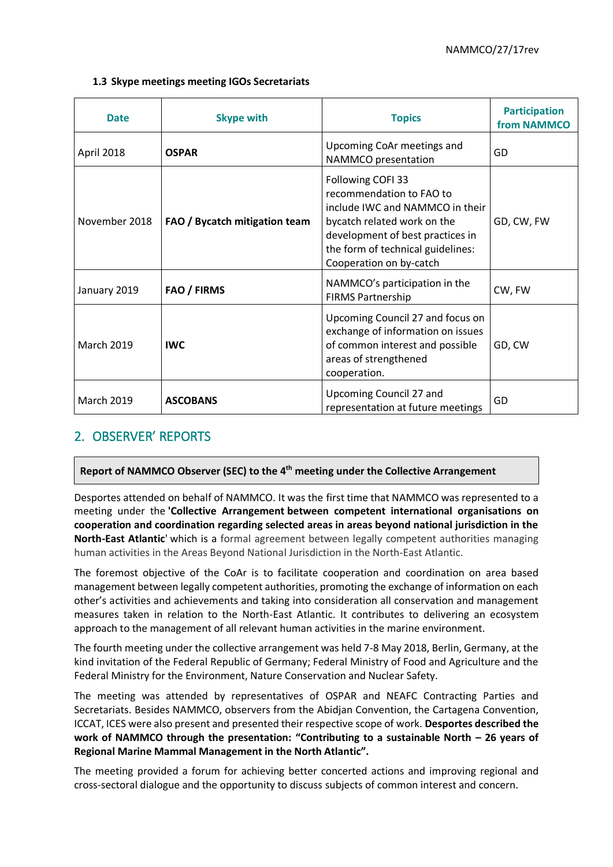#### **1.3 Skype meetings meeting IGOs Secretariats**

| <b>Date</b>       | <b>Skype with</b>             | <b>Topics</b>                                                                                                                                                                                                       | <b>Participation</b><br>from NAMMCO |
|-------------------|-------------------------------|---------------------------------------------------------------------------------------------------------------------------------------------------------------------------------------------------------------------|-------------------------------------|
| April 2018        | <b>OSPAR</b>                  | Upcoming CoAr meetings and<br>NAMMCO presentation                                                                                                                                                                   | GD                                  |
| November 2018     | FAO / Bycatch mitigation team | Following COFI 33<br>recommendation to FAO to<br>include IWC and NAMMCO in their<br>bycatch related work on the<br>development of best practices in<br>the form of technical guidelines:<br>Cooperation on by-catch | GD, CW, FW                          |
| January 2019      | <b>FAO / FIRMS</b>            | NAMMCO's participation in the<br><b>FIRMS Partnership</b>                                                                                                                                                           | CW, FW                              |
| <b>March 2019</b> | <b>IWC</b>                    | Upcoming Council 27 and focus on<br>exchange of information on issues<br>of common interest and possible<br>areas of strengthened<br>cooperation.                                                                   | GD, CW                              |
| <b>March 2019</b> | <b>ASCOBANS</b>               | Upcoming Council 27 and<br>representation at future meetings                                                                                                                                                        | GD                                  |

## 2. OBSERVER' REPORTS

#### **Report of NAMMCO Observer (SEC) to the 4 th meeting under the Collective Arrangement**

Desportes attended on behalf of NAMMCO. It was the first time that NAMMCO was represented to a meeting under the **'Collective Arrangement between competent international organisations on cooperation and coordination regarding selected areas in areas beyond national jurisdiction in the North-East Atlantic**' which is a formal agreement between legally competent authorities managing human activities in the Areas Beyond National Jurisdiction in the North-East Atlantic.

The foremost objective of the CoAr is to facilitate cooperation and coordination on area based management between legally competent authorities, promoting the exchange of information on each other's activities and achievements and taking into consideration all conservation and management measures taken in relation to the North-East Atlantic. It contributes to delivering an ecosystem approach to the management of all relevant human activities in the marine environment.

The fourth meeting under the collective arrangement was held 7-8 May 2018, Berlin, Germany, at the kind invitation of the Federal Republic of Germany; Federal Ministry of Food and Agriculture and the Federal Ministry for the Environment, Nature Conservation and Nuclear Safety.

The meeting was attended by representatives of OSPAR and NEAFC Contracting Parties and Secretariats. Besides NAMMCO, observers from the Abidjan Convention, the Cartagena Convention, ICCAT, ICES were also present and presented their respective scope of work. **Desportes described the work of NAMMCO through the presentation: "Contributing to a sustainable North – 26 years of Regional Marine Mammal Management in the North Atlantic".**

The meeting provided a forum for achieving better concerted actions and improving regional and cross-sectoral dialogue and the opportunity to discuss subjects of common interest and concern.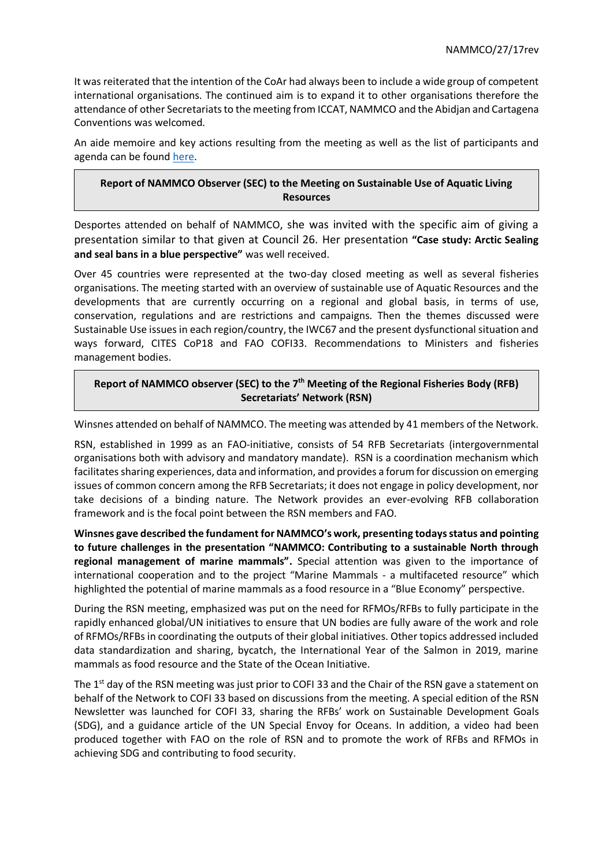It was reiterated that the intention of the CoAr had always been to include a wide group of competent international organisations. The continued aim is to expand it to other organisations therefore the attendance of other Secretariats to the meeting from ICCAT, NAMMCO and the Abidjan and Cartagena Conventions was welcomed.

An aide memoire and key actions resulting from the meeting as well as the list of participants and agenda can be found [here.](https://www.ospar.org/meetings/archive?q=Collective+arrangement&a=&y=&s=)

### **Report of NAMMCO Observer (SEC) to the Meeting on Sustainable Use of Aquatic Living Resources**

Desportes attended on behalf of NAMMCO, she was invited with the specific aim of giving a presentation similar to that given at Council 26. Her presentation **"Case study: Arctic Sealing and seal bans in a blue perspective"** was well received.

Over 45 countries were represented at the two-day closed meeting as well as several fisheries organisations. The meeting started with an overview of sustainable use of Aquatic Resources and the developments that are currently occurring on a regional and global basis, in terms of use, conservation, regulations and are restrictions and campaigns. Then the themes discussed were Sustainable Use issues in each region/country, the IWC67 and the present dysfunctional situation and ways forward, CITES CoP18 and FAO COFI33. Recommendations to Ministers and fisheries management bodies.

## Report of NAMMCO observer (SEC) to the 7<sup>th</sup> Meeting of the Regional Fisheries Body (RFB) **Secretariats' Network (RSN)**

Winsnes attended on behalf of NAMMCO. The meeting was attended by 41 members of the Network.

RSN, established in 1999 as an FAO-initiative, consists of 54 RFB Secretariats (intergovernmental organisations both with advisory and mandatory mandate). RSN is a coordination mechanism which facilitates sharing experiences, data and information, and provides a forum for discussion on emerging issues of common concern among the RFB Secretariats; it does not engage in policy development, nor take decisions of a binding nature. The Network provides an ever-evolving RFB collaboration framework and is the focal point between the RSN members and FAO.

**Winsnes gave described the fundament for NAMMCO's work, presenting todays status and pointing to future challenges in the presentation "NAMMCO: Contributing to a sustainable North through regional management of marine mammals".** Special attention was given to the importance of international cooperation and to the project "Marine Mammals - a multifaceted resource" which highlighted the potential of marine mammals as a food resource in a "Blue Economy" perspective.

During the RSN meeting, emphasized was put on the need for RFMOs/RFBs to fully participate in the rapidly enhanced global/UN initiatives to ensure that UN bodies are fully aware of the work and role of RFMOs/RFBs in coordinating the outputs of their global initiatives. Other topics addressed included data standardization and sharing, bycatch, the International Year of the Salmon in 2019, marine mammals as food resource and the State of the Ocean Initiative.

The  $1<sup>st</sup>$  day of the RSN meeting was just prior to COFI 33 and the Chair of the RSN gave a statement on behalf of the Network to COFI 33 based on discussions from the meeting. A special edition of the RSN Newsletter was launched for COFI 33, sharing the RFBs' work on Sustainable Development Goals (SDG), and a guidance article of the UN Special Envoy for Oceans. In addition, a video had been produced together with FAO on the role of RSN and to promote the work of RFBs and RFMOs in achieving SDG and contributing to food security.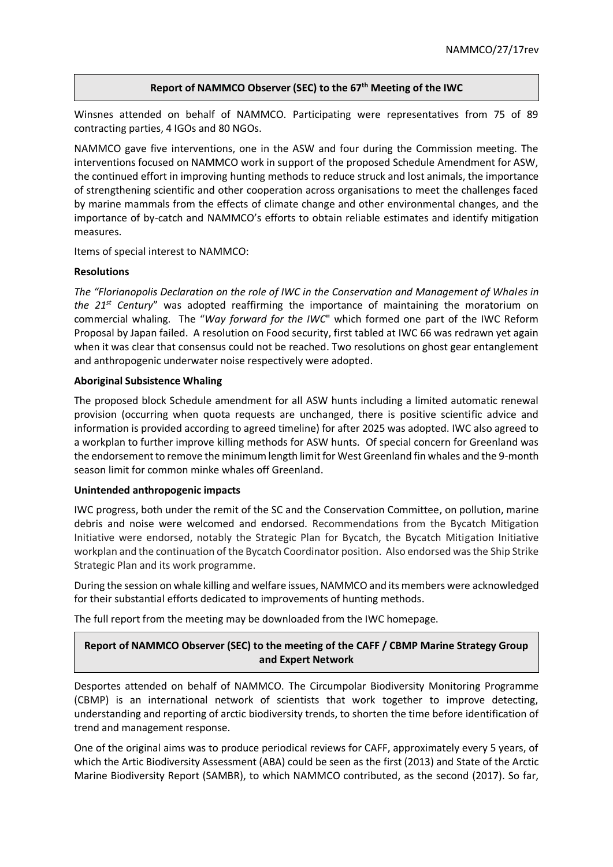#### **Report of NAMMCO Observer (SEC) to the 67th Meeting of the IWC**

Winsnes attended on behalf of NAMMCO. Participating were representatives from 75 of 89 contracting parties, 4 IGOs and 80 NGOs.

NAMMCO gave five interventions, one in the ASW and four during the Commission meeting. The interventions focused on NAMMCO work in support of the proposed Schedule Amendment for ASW, the continued effort in improving hunting methods to reduce struck and lost animals, the importance of strengthening scientific and other cooperation across organisations to meet the challenges faced by marine mammals from the effects of climate change and other environmental changes, and the importance of by-catch and NAMMCO's efforts to obtain reliable estimates and identify mitigation measures.

Items of special interest to NAMMCO:

#### **Resolutions**

*The "Florianopolis Declaration on the role of IWC in the Conservation and Management of Whales in the 21st Century*" was adopted reaffirming the importance of maintaining the moratorium on commercial whaling. The "*Way forward for the IWC*" which formed one part of the IWC Reform Proposal by Japan failed. A resolution on Food security, first tabled at IWC 66 was redrawn yet again when it was clear that consensus could not be reached. Two resolutions on ghost gear entanglement and anthropogenic underwater noise respectively were adopted.

#### **Aboriginal Subsistence Whaling**

The proposed block Schedule amendment for all ASW hunts including a limited automatic renewal provision (occurring when quota requests are unchanged, there is positive scientific advice and information is provided according to agreed timeline) for after 2025 was adopted. IWC also agreed to a workplan to further improve killing methods for ASW hunts. Of special concern for Greenland was the endorsement to remove the minimum length limit for West Greenland fin whales and the 9-month season limit for common minke whales off Greenland.

#### **Unintended anthropogenic impacts**

IWC progress, both under the remit of the SC and the Conservation Committee, on pollution, marine debris and noise were welcomed and endorsed. Recommendations from the Bycatch Mitigation Initiative were endorsed, notably the Strategic Plan for Bycatch, the Bycatch Mitigation Initiative workplan and the continuation of the Bycatch Coordinator position. Also endorsed was the Ship Strike Strategic Plan and its work programme.

During the session on whale killing and welfare issues, NAMMCO and its members were acknowledged for their substantial efforts dedicated to improvements of hunting methods.

The full report from the meeting may be downloaded from the IWC homepage.

## **Report of NAMMCO Observer (SEC) to the meeting of the CAFF / CBMP Marine Strategy Group and Expert Network**

Desportes attended on behalf of NAMMCO. The Circumpolar Biodiversity Monitoring Programme (CBMP) is an international network of scientists that work together to improve detecting, understanding and reporting of arctic biodiversity trends, to shorten the time before identification of trend and management response.

One of the original aims was to produce periodical reviews for CAFF, approximately every 5 years, of which the Artic Biodiversity Assessment (ABA) could be seen as the first (2013) and State of the Arctic Marine Biodiversity Report (SAMBR), to which NAMMCO contributed, as the second (2017). So far,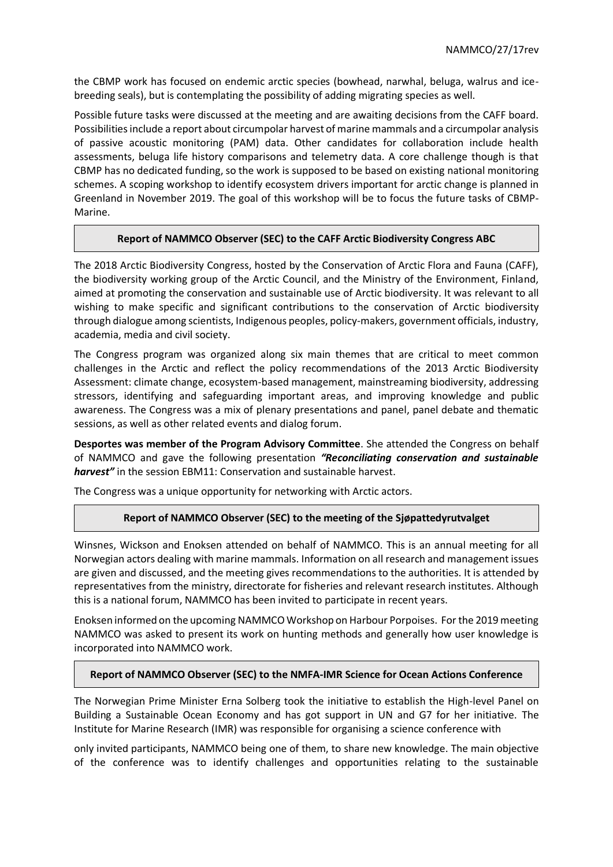the CBMP work has focused on endemic arctic species (bowhead, narwhal, beluga, walrus and icebreeding seals), but is contemplating the possibility of adding migrating species as well.

Possible future tasks were discussed at the meeting and are awaiting decisions from the CAFF board. Possibilities include a report about circumpolar harvest of marine mammals and a circumpolar analysis of passive acoustic monitoring (PAM) data. Other candidates for collaboration include health assessments, beluga life history comparisons and telemetry data. A core challenge though is that CBMP has no dedicated funding, so the work is supposed to be based on existing national monitoring schemes. A scoping workshop to identify ecosystem drivers important for arctic change is planned in Greenland in November 2019. The goal of this workshop will be to focus the future tasks of CBMP-Marine.

#### **Report of NAMMCO Observer (SEC) to the CAFF Arctic Biodiversity Congress ABC**

The 2018 Arctic Biodiversity Congress, hosted by the Conservation of Arctic Flora and Fauna (CAFF), the biodiversity working group of the Arctic Council, and the Ministry of the Environment, Finland, aimed at promoting the conservation and sustainable use of Arctic biodiversity. It was relevant to all wishing to make specific and significant contributions to the conservation of Arctic biodiversity through dialogue among scientists, Indigenous peoples, policy-makers, government officials, industry, academia, media and civil society.

The Congress program was organized along six main themes that are critical to meet common challenges in the Arctic and reflect the policy recommendations of the 2013 Arctic Biodiversity Assessment: climate change, ecosystem-based management, mainstreaming biodiversity, addressing stressors, identifying and safeguarding important areas, and improving knowledge and public awareness. The Congress was a mix of plenary presentations and panel, panel debate and thematic sessions, as well as other related events and dialog forum.

**Desportes was member of the Program Advisory Committee**. She attended the Congress on behalf of NAMMCO and gave the following presentation *"Reconciliating conservation and sustainable harvest"* in the session EBM11: Conservation and sustainable harvest.

The Congress was a unique opportunity for networking with Arctic actors.

#### **Report of NAMMCO Observer (SEC) to the meeting of the Sjøpattedyrutvalget**

Winsnes, Wickson and Enoksen attended on behalf of NAMMCO. This is an annual meeting for all Norwegian actors dealing with marine mammals. Information on all research and management issues are given and discussed, and the meeting gives recommendations to the authorities. It is attended by representatives from the ministry, directorate for fisheries and relevant research institutes. Although this is a national forum, NAMMCO has been invited to participate in recent years.

Enoksen informed on the upcoming NAMMCO Workshop on Harbour Porpoises. For the 2019 meeting NAMMCO was asked to present its work on hunting methods and generally how user knowledge is incorporated into NAMMCO work.

#### **Report of NAMMCO Observer (SEC) to the NMFA-IMR Science for Ocean Actions Conference**

The Norwegian Prime Minister Erna Solberg took the initiative to establish the High-level Panel on Building a Sustainable Ocean Economy and has got support in UN and G7 for her initiative. The Institute for Marine Research (IMR) was responsible for organising a science conference with

only invited participants, NAMMCO being one of them, to share new knowledge. The main objective of the conference was to identify challenges and opportunities relating to the sustainable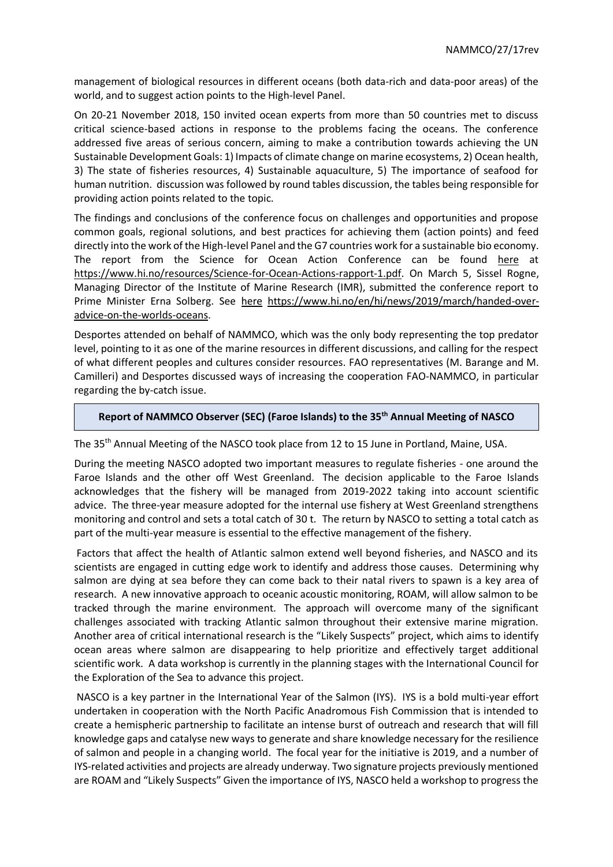management of biological resources in different oceans (both data-rich and data-poor areas) of the world, and to suggest action points to the High-level Panel.

On 20-21 November 2018, 150 invited ocean experts from more than 50 countries met to discuss critical science-based actions in response to the problems facing the oceans. The conference addressed five areas of serious concern, aiming to make a contribution towards achieving the UN Sustainable Development Goals: 1) Impacts of climate change on marine ecosystems, 2) Ocean health, 3) The state of fisheries resources, 4) Sustainable aquaculture, 5) The importance of seafood for human nutrition. discussion was followed by round tables discussion, the tables being responsible for providing action points related to the topic.

The findings and conclusions of the conference focus on challenges and opportunities and propose common goals, regional solutions, and best practices for achieving them (action points) and feed directly into the work of the High-level Panel and the G7 countries work for a sustainable bio economy. The report from the Science for Ocean Action Conference can be found [here](https://www.hi.no/resources/Science-for-Ocean-Actions-rapport-1.pdf) at [https://www.hi.no/resources/Science-for-Ocean-Actions-rapport-1.pdf.](https://www.hi.no/resources/Science-for-Ocean-Actions-rapport-1.pdf) On March 5, Sissel Rogne, Managing Director of the Institute of Marine Research (IMR), submitted the conference report to Prime Minister Erna Solberg. See [here](https://www.hi.no/en/hi/news/2019/march/handed-over-advice-on-the-worlds-oceans) [https://www.hi.no/en/hi/news/2019/march/handed-over](https://www.hi.no/en/hi/news/2019/march/handed-over-advice-on-the-worlds-oceans)[advice-on-the-worlds-oceans.](https://www.hi.no/en/hi/news/2019/march/handed-over-advice-on-the-worlds-oceans)

Desportes attended on behalf of NAMMCO, which was the only body representing the top predator level, pointing to it as one of the marine resources in different discussions, and calling for the respect of what different peoples and cultures consider resources. FAO representatives (M. Barange and M. Camilleri) and Desportes discussed ways of increasing the cooperation FAO-NAMMCO, in particular regarding the by-catch issue.

#### **Report of NAMMCO Observer (SEC) (Faroe Islands) to the 35th Annual Meeting of NASCO**

The 35th Annual Meeting of the NASCO took place from 12 to 15 June in Portland, Maine, USA.

During the meeting NASCO adopted two important measures to regulate fisheries - one around the Faroe Islands and the other off West Greenland. The decision applicable to the Faroe Islands acknowledges that the fishery will be managed from 2019-2022 taking into account scientific advice. The three-year measure adopted for the internal use fishery at West Greenland strengthens monitoring and control and sets a total catch of 30 t. The return by NASCO to setting a total catch as part of the multi-year measure is essential to the effective management of the fishery.

Factors that affect the health of Atlantic salmon extend well beyond fisheries, and NASCO and its scientists are engaged in cutting edge work to identify and address those causes. Determining why salmon are dying at sea before they can come back to their natal rivers to spawn is a key area of research. A new innovative approach to oceanic acoustic monitoring, ROAM, will allow salmon to be tracked through the marine environment. The approach will overcome many of the significant challenges associated with tracking Atlantic salmon throughout their extensive marine migration. Another area of critical international research is the "Likely Suspects" project, which aims to identify ocean areas where salmon are disappearing to help prioritize and effectively target additional scientific work. A data workshop is currently in the planning stages with the International Council for the Exploration of the Sea to advance this project.

NASCO is a key partner in the International Year of the Salmon (IYS). IYS is a bold multi-year effort undertaken in cooperation with the North Pacific Anadromous Fish Commission that is intended to create a hemispheric partnership to facilitate an intense burst of outreach and research that will fill knowledge gaps and catalyse new ways to generate and share knowledge necessary for the resilience of salmon and people in a changing world. The focal year for the initiative is 2019, and a number of IYS-related activities and projects are already underway. Two signature projects previously mentioned are ROAM and "Likely Suspects" Given the importance of IYS, NASCO held a workshop to progress the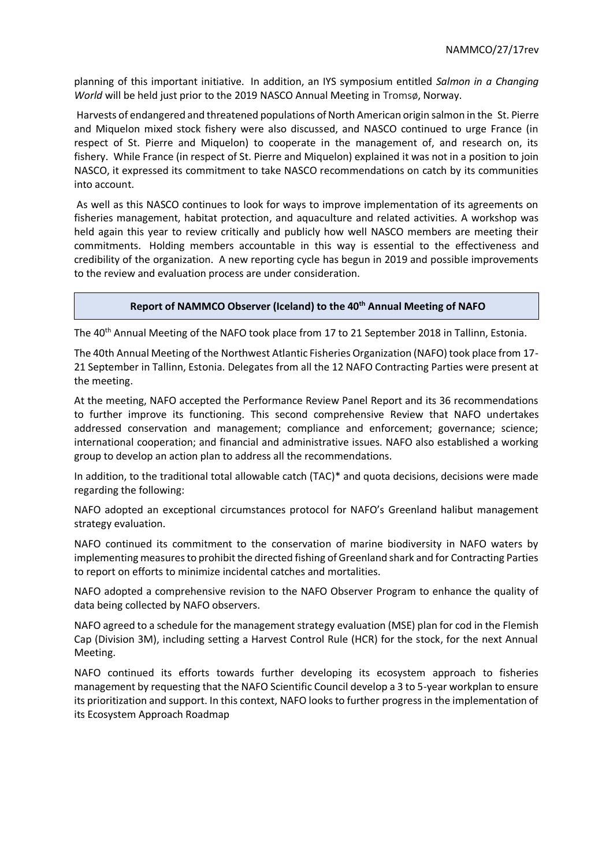planning of this important initiative. In addition, an IYS symposium entitled *Salmon in a Changing World* will be held just prior to the 2019 NASCO Annual Meeting in Tromsø, Norway.

Harvests of endangered and threatened populations of North American origin salmon in the St. Pierre and Miquelon mixed stock fishery were also discussed, and NASCO continued to urge France (in respect of St. Pierre and Miquelon) to cooperate in the management of, and research on, its fishery. While France (in respect of St. Pierre and Miquelon) explained it was not in a position to join NASCO, it expressed its commitment to take NASCO recommendations on catch by its communities into account.

As well as this NASCO continues to look for ways to improve implementation of its agreements on fisheries management, habitat protection, and aquaculture and related activities. A workshop was held again this year to review critically and publicly how well NASCO members are meeting their commitments. Holding members accountable in this way is essential to the effectiveness and credibility of the organization. A new reporting cycle has begun in 2019 and possible improvements to the review and evaluation process are under consideration.

#### **Report of NAMMCO Observer (Iceland) to the 40th Annual Meeting of NAFO**

The 40<sup>th</sup> Annual Meeting of the NAFO took place from 17 to 21 September 2018 in Tallinn, Estonia.

The 40th Annual Meeting of the Northwest Atlantic Fisheries Organization (NAFO) took place from 17- 21 September in Tallinn, Estonia. Delegates from all the 12 NAFO Contracting Parties were present at the meeting.

At the meeting, NAFO accepted the Performance Review Panel Report and its 36 recommendations to further improve its functioning. This second comprehensive Review that NAFO undertakes addressed conservation and management; compliance and enforcement; governance; science; international cooperation; and financial and administrative issues. NAFO also established a working group to develop an action plan to address all the recommendations.

In addition, to the traditional total allowable catch (TAC)\* and quota decisions, decisions were made regarding the following:

NAFO adopted an exceptional circumstances protocol for NAFO's Greenland halibut management strategy evaluation.

NAFO continued its commitment to the conservation of marine biodiversity in NAFO waters by implementing measures to prohibit the directed fishing of Greenland shark and for Contracting Parties to report on efforts to minimize incidental catches and mortalities.

NAFO adopted a comprehensive revision to the NAFO Observer Program to enhance the quality of data being collected by NAFO observers.

NAFO agreed to a schedule for the management strategy evaluation (MSE) plan for cod in the Flemish Cap (Division 3M), including setting a Harvest Control Rule (HCR) for the stock, for the next Annual Meeting.

NAFO continued its efforts towards further developing its ecosystem approach to fisheries management by requesting that the NAFO Scientific Council develop a 3 to 5-year workplan to ensure its prioritization and support. In this context, NAFO looks to further progress in the implementation of its Ecosystem Approach Roadmap